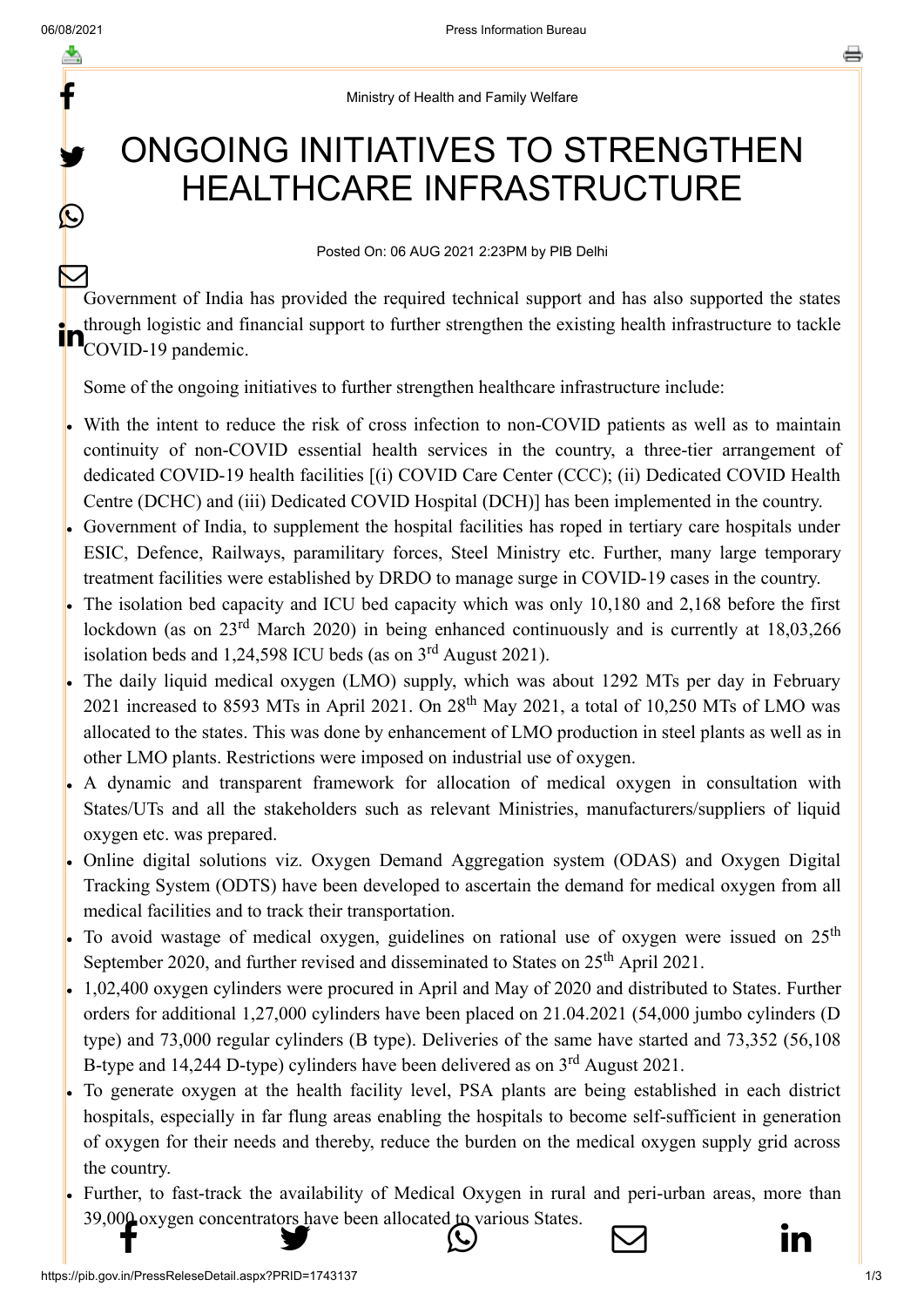f

y.

 $\boldsymbol{\Omega}$ 

## Ministry of Health and Family Welfare

## ONGOING INITIATIVES TO STRENGTHEN HEALTHCARE INFRASTRUCTURE

## Posted On: 06 AUG 2021 2:23PM by PIB Delhi

Government of India has provided the required technical support and has also supported the states through logistic and financial support to further strengthen the existing health infrastructure to tackle **in** through logistic and fill- $\bm{\nabla}$ 

Some of the ongoing initiatives to further strengthen healthcare infrastructure include:

- With the intent to reduce the risk of cross infection to non-COVID patients as well as to maintain continuity of non-COVID essential health services in the country, a three-tier arrangement of dedicated COVID-19 health facilities [(i) COVID Care Center (CCC); (ii) Dedicated COVID Health Centre (DCHC) and (iii) Dedicated COVID Hospital (DCH)] has been implemented in the country.
- Government of India, to supplement the hospital facilities has roped in tertiary care hospitals under ESIC, Defence, Railways, paramilitary forces, Steel Ministry etc. Further, many large temporary treatment facilities were established by DRDO to manage surge in COVID-19 cases in the country.
- The isolation bed capacity and ICU bed capacity which was only 10,180 and 2,168 before the first lockdown (as on  $23^{\text{rd}}$  March 2020) in being enhanced continuously and is currently at 18,03,266 isolation beds and  $1,24,598$  ICU beds (as on  $3<sup>rd</sup>$  August 2021).
- The daily liquid medical oxygen (LMO) supply, which was about 1292 MTs per day in February 2021 increased to 8593 MTs in April 2021. On  $28<sup>th</sup>$  May 2021, a total of 10,250 MTs of LMO was allocated to the states. This was done by enhancement of LMO production in steel plants as well as in other LMO plants. Restrictions were imposed on industrial use of oxygen.
- A dynamic and transparent framework for allocation of medical oxygen in consultation with States/UTs and all the stakeholders such as relevant Ministries, manufacturers/suppliers of liquid oxygen etc. was prepared.
- Online digital solutions viz. Oxygen Demand Aggregation system (ODAS) and Oxygen Digital Tracking System (ODTS) have been developed to ascertain the demand for medical oxygen from all medical facilities and to track their transportation.
- To avoid wastage of medical oxygen, guidelines on rational use of oxygen were issued on  $25<sup>th</sup>$ September 2020, and further revised and disseminated to States on  $25<sup>th</sup>$  April 2021.
- 1,02,400 oxygen cylinders were procured in April and May of 2020 and distributed to States. Further orders for additional 1,27,000 cylinders have been placed on 21.04.2021 (54,000 jumbo cylinders (D type) and 73,000 regular cylinders (B type). Deliveries of the same have started and 73,352 (56,108 B-type and 14,244 D-type) cylinders have been delivered as on  $3<sup>rd</sup>$  August 2021.
- To generate oxygen at the health facility level, PSA plants are being established in each district hospitals, especially in far flung areas enabling the hospitals to become self-sufficient in generation of oxygen for their needs and thereby, reduce the burden on the medical oxygen supply grid across the country.
- Further, to fast-track the availability of Medical Oxygen in rural and peri-urban areas, more than [39,000 oxygen c](http://www.facebook.com/share.php?u=https://pib.gov.in/PressReleasePage.aspx?PRID=1743137)[oncentrators have been](https://twitter.com/intent/tweet?url=https://pib.gov.in/PressReleasePage.aspx?PRID=1743137&text=ONGOING%20INITIATIVES%20TO%20STRENGTHEN%20HEALTHCARE%20INFRASTRUCTURE) [allocated to various St](https://api.whatsapp.com/send?text=https://pib.gov.in/PressReleasePage.aspx?PRID=1743137)ates.

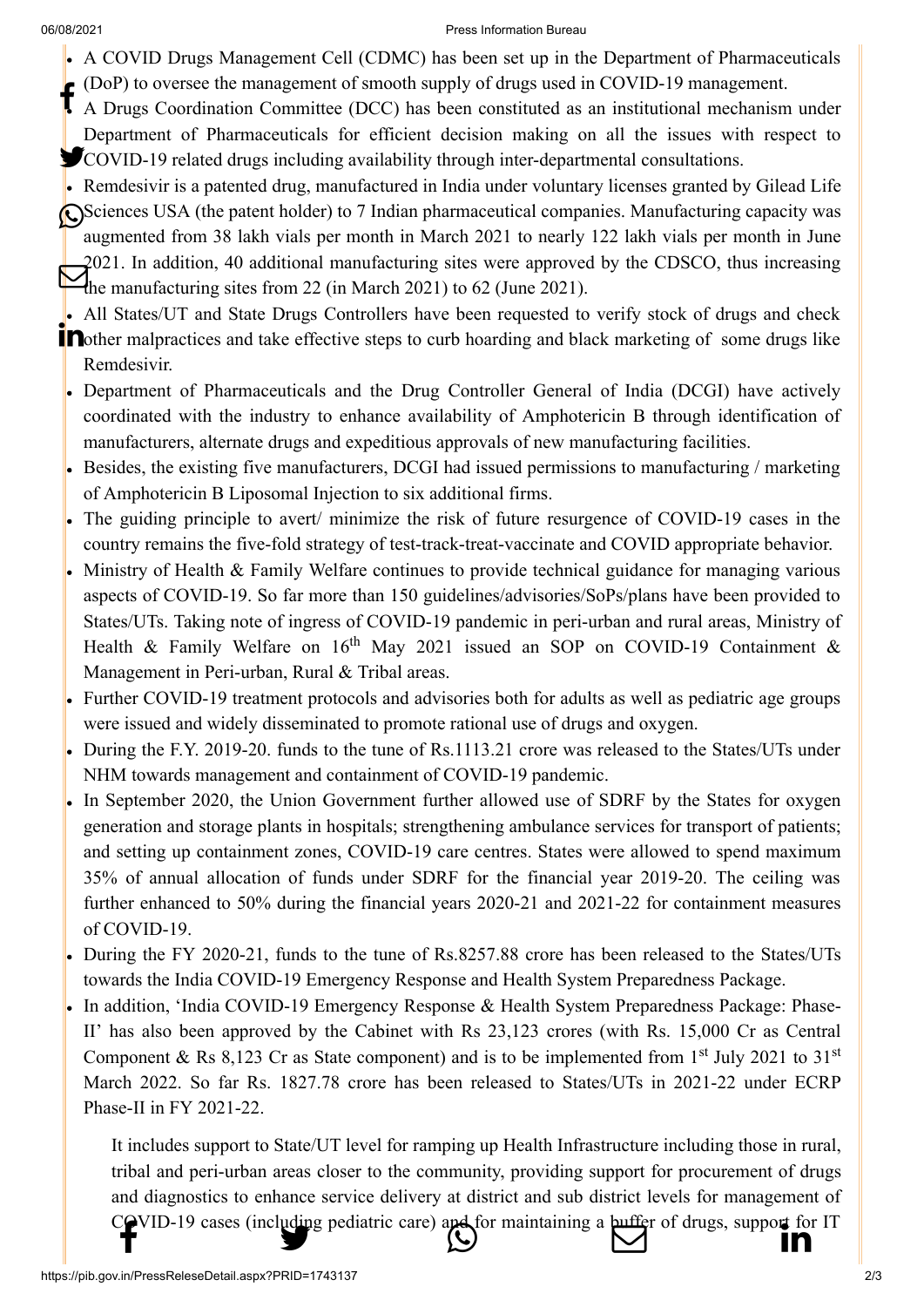## 06/08/2021 Press Information Bureau

- [A COVID Drugs](http://www.facebook.com/share.php?u=https://pib.gov.in/PressReleasePage.aspx?PRID=1743137) [Management Cell \(C](https://twitter.com/intent/tweet?url=https://pib.gov.in/PressReleasePage.aspx?PRID=1743137&text=ONGOING%20INITIATIVES%20TO%20STRENGTHEN%20HEALTHCARE%20INFRASTRUCTURE)[DMC\) has been set up](https://api.whatsapp.com/send?text=https://pib.gov.in/PressReleasePage.aspx?PRID=1743137) [in the Department of](https://mail.google.com/mail/?view=cm&fs=1&tf=1&to=&su=ONGOING%20INITIATIVES%20TO%20STRENGTHEN%20HEALTHCARE%20INFRASTRUCTURE&body=https://pib.gov.in/PressReleasePage.aspx?PRID=1743137&ui=2&tf=1&pli=1) [Pharmaceuticals](https://www.linkedin.com/shareArticle?mini=true&url=https://pib.gov.in/PressReleasePage.aspx?PRID=1743137&title=ONGOING%20INITIATIVES%20TO%20STRENGTHEN%20HEALTHCARE%20INFRASTRUCTURE&summary=My%20favorite%20developer%20program&source=LinkedIn) (DoP) to oversee the management of smooth supply of drugs used in COVID-19 management.
- A Drugs Coordination Committee (DCC) has been constituted as an institutional mechanism under Department of Pharmaceuticals for efficient decision making on all the issues with respect to COVID-19 related drugs including availability through inter-departmental consultations.
- Remdesivir is a patented drug, manufactured in India under voluntary licenses granted by Gilead Life Sciences USA (the patent holder) to 7 Indian pharmaceutical companies. Manufacturing capacity was augmented from 38 lakh vials per month in March 2021 to nearly 122 lakh vials per month in June 2021. In addition, 40 additional manufacturing sites were approved by the CDSCO, thus increasing  $U^{021}$ . In addition, 40 additional manufacturing sites were approved<br>the manufacturing sites from 22 (in March 2021) to 62 (June 2021).
- All States/UT and State Drugs Controllers have been requested to verify stock of drugs and check **n**other malpractices and take effective steps to curb hoarding and black marketing of some drugs like Remdesivir.
- Department of Pharmaceuticals and the Drug Controller General of India (DCGI) have actively coordinated with the industry to enhance availability of Amphotericin B through identification of manufacturers, alternate drugs and expeditious approvals of new manufacturing facilities.
- Besides, the existing five manufacturers, DCGI had issued permissions to manufacturing / marketing of Amphotericin B Liposomal Injection to six additional firms.
- The guiding principle to avert/ minimize the risk of future resurgence of COVID-19 cases in the country remains the five-fold strategy of test-track-treat-vaccinate and COVID appropriate behavior.
- Ministry of Health & Family Welfare continues to provide technical guidance for managing various aspects of COVID-19. So far more than 150 guidelines/advisories/SoPs/plans have been provided to States/UTs. Taking note of ingress of COVID-19 pandemic in peri-urban and rural areas, Ministry of Health & Family Welfare on  $16<sup>th</sup>$  May 2021 issued an SOP on COVID-19 Containment & Management in Peri-urban, Rural & Tribal areas.
- Further COVID-19 treatment protocols and advisories both for adults as well as pediatric age groups were issued and widely disseminated to promote rational use of drugs and oxygen.
- During the F.Y. 2019-20. funds to the tune of Rs.1113.21 crore was released to the States/UTs under NHM towards management and containment of COVID-19 pandemic.
- In September 2020, the Union Government further allowed use of SDRF by the States for oxygen generation and storage plants in hospitals; strengthening ambulance services for transport of patients; and setting up containment zones, COVID-19 care centres. States were allowed to spend maximum 35% of annual allocation of funds under SDRF for the financial year 2019-20. The ceiling was further enhanced to 50% during the financial years 2020-21 and 2021-22 for containment measures of COVID-19.
- During the FY 2020-21, funds to the tune of Rs.8257.88 crore has been released to the States/UTs towards the India COVID-19 Emergency Response and Health System Preparedness Package.
- In addition, 'India COVID-19 Emergency Response & Health System Preparedness Package: Phase-II' has also been approved by the Cabinet with Rs 23,123 crores (with Rs. 15,000 Cr as Central Component & Rs 8,123 Cr as State component) and is to be implemented from 1<sup>st</sup> July 2021 to 31<sup>st</sup> March 2022. So far Rs. 1827.78 crore has been released to States/UTs in 2021-22 under ECRP Phase-II in FY 2021-22.

It includes support to State/UT level for ramping up Health Infrastructure including those in rural, tribal and peri-urban areas closer to the community, providing support for procurement of drugs and diagnostics to enhance service delivery at district and sub district levels for management of [COVID-19 c](http://www.facebook.com/share.php?u=https://pib.gov.in/PressReleasePage.aspx?PRID=1743137)[ases \(including pediatr](https://twitter.com/intent/tweet?url=https://pib.gov.in/PressReleasePage.aspx?PRID=1743137&text=ONGOING%20INITIATIVES%20TO%20STRENGTHEN%20HEALTHCARE%20INFRASTRUCTURE)[ic care\) and for maint](https://api.whatsapp.com/send?text=https://pib.gov.in/PressReleasePage.aspx?PRID=1743137)[aining a buffer of drug](https://mail.google.com/mail/?view=cm&fs=1&tf=1&to=&su=ONGOING%20INITIATIVES%20TO%20STRENGTHEN%20HEALTHCARE%20INFRASTRUCTURE&body=https://pib.gov.in/PressReleasePage.aspx?PRID=1743137&ui=2&tf=1&pli=1)[s, support for IT](https://www.linkedin.com/shareArticle?mini=true&url=https://pib.gov.in/PressReleasePage.aspx?PRID=1743137&title=ONGOING%20INITIATIVES%20TO%20STRENGTHEN%20HEALTHCARE%20INFRASTRUCTURE&summary=My%20favorite%20developer%20program&source=LinkedIn)